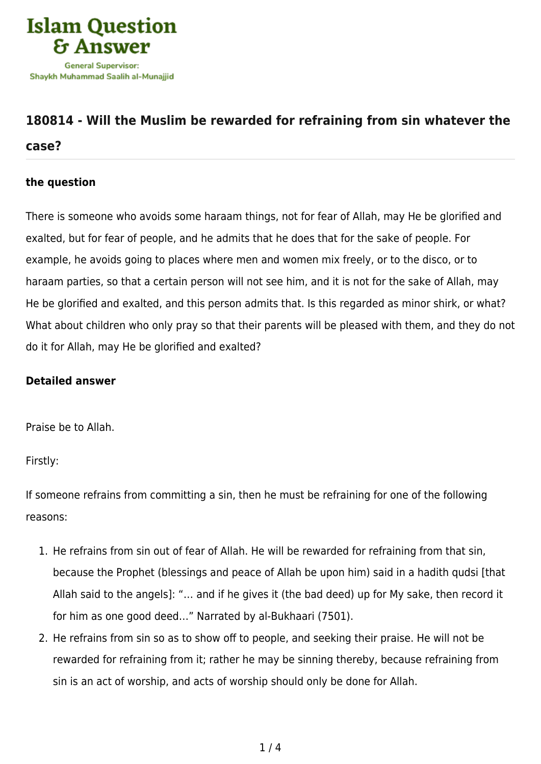

## **[180814 - Will the Muslim be rewarded for refraining from sin whatever the](https://islamqa.com/en/answers/180814/will-the-muslim-be-rewarded-for-refraining-from-sin-whatever-the-case)**

## **[case?](https://islamqa.com/en/answers/180814/will-the-muslim-be-rewarded-for-refraining-from-sin-whatever-the-case)**

## **the question**

There is someone who avoids some haraam things, not for fear of Allah, may He be glorified and exalted, but for fear of people, and he admits that he does that for the sake of people. For example, he avoids going to places where men and women mix freely, or to the disco, or to haraam parties, so that a certain person will not see him, and it is not for the sake of Allah, may He be glorified and exalted, and this person admits that. Is this regarded as minor shirk, or what? What about children who only pray so that their parents will be pleased with them, and they do not do it for Allah, may He be glorified and exalted?

## **Detailed answer**

Praise be to Allah.

Firstly:

If someone refrains from committing a sin, then he must be refraining for one of the following reasons:

- 1. He refrains from sin out of fear of Allah. He will be rewarded for refraining from that sin, because the Prophet (blessings and peace of Allah be upon him) said in a hadith qudsi [that Allah said to the angels]: "… and if he gives it (the bad deed) up for My sake, then record it for him as one good deed…" Narrated by al-Bukhaari (7501).
- 2. He refrains from sin so as to show off to people, and seeking their praise. He will not be rewarded for refraining from it; rather he may be sinning thereby, because refraining from sin is an act of worship, and acts of worship should only be done for Allah.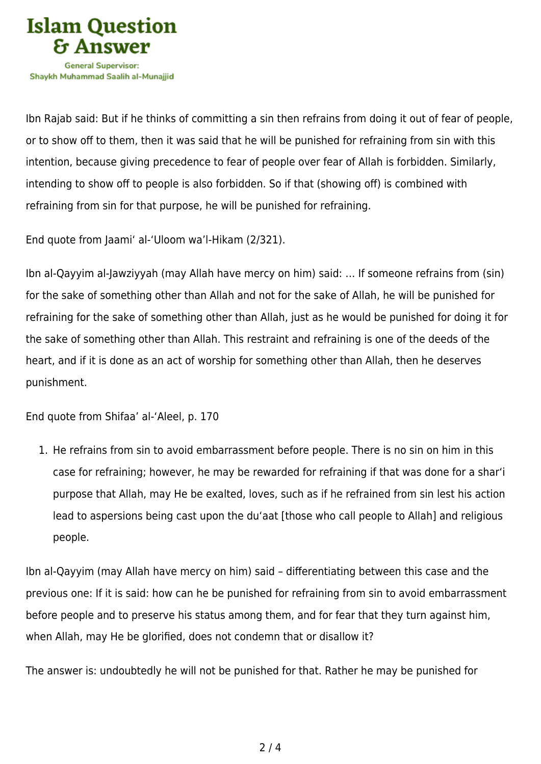

Ibn Rajab said: But if he thinks of committing a sin then refrains from doing it out of fear of people, or to show off to them, then it was said that he will be punished for refraining from sin with this intention, because giving precedence to fear of people over fear of Allah is forbidden. Similarly, intending to show off to people is also forbidden. So if that (showing off) is combined with refraining from sin for that purpose, he will be punished for refraining.

End quote from Jaami' al-'Uloom wa'l-Hikam (2/321).

Ibn al-Qayyim al-Jawziyyah (may Allah have mercy on him) said: … If someone refrains from (sin) for the sake of something other than Allah and not for the sake of Allah, he will be punished for refraining for the sake of something other than Allah, just as he would be punished for doing it for the sake of something other than Allah. This restraint and refraining is one of the deeds of the heart, and if it is done as an act of worship for something other than Allah, then he deserves punishment.

End quote from Shifaa' al-'Aleel, p. 170

1. He refrains from sin to avoid embarrassment before people. There is no sin on him in this case for refraining; however, he may be rewarded for refraining if that was done for a shar'i purpose that Allah, may He be exalted, loves, such as if he refrained from sin lest his action lead to aspersions being cast upon the du'aat [those who call people to Allah] and religious people.

Ibn al-Qayyim (may Allah have mercy on him) said – differentiating between this case and the previous one: If it is said: how can he be punished for refraining from sin to avoid embarrassment before people and to preserve his status among them, and for fear that they turn against him, when Allah, may He be glorified, does not condemn that or disallow it?

The answer is: undoubtedly he will not be punished for that. Rather he may be punished for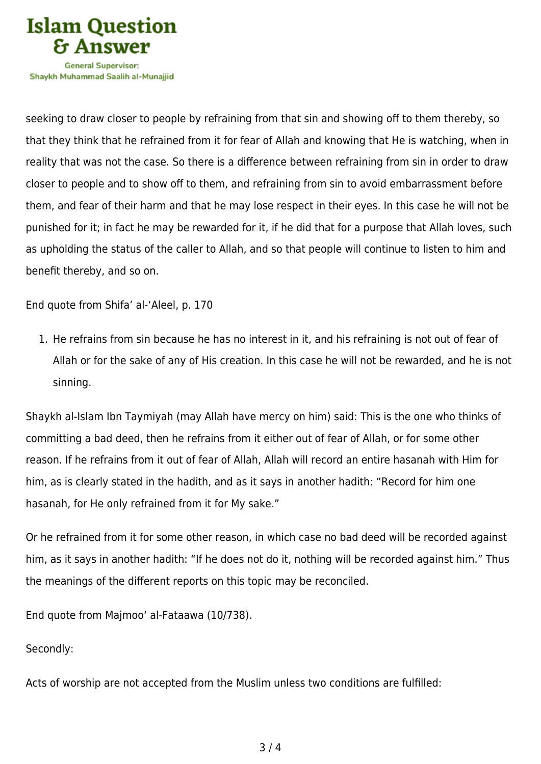

Shavkh Muhammad Saalih al-Munaiiid

seeking to draw closer to people by refraining from that sin and showing off to them thereby, so that they think that he refrained from it for fear of Allah and knowing that He is watching, when in reality that was not the case. So there is a difference between refraining from sin in order to draw closer to people and to show off to them, and refraining from sin to avoid embarrassment before them, and fear of their harm and that he may lose respect in their eyes. In this case he will not be punished for it; in fact he may be rewarded for it, if he did that for a purpose that Allah loves, such as upholding the status of the caller to Allah, and so that people will continue to listen to him and benefit thereby, and so on.

End quote from Shifa' al-'Aleel, p. 170

1. He refrains from sin because he has no interest in it, and his refraining is not out of fear of Allah or for the sake of any of His creation. In this case he will not be rewarded, and he is not sinning.

Shaykh al-Islam Ibn Taymiyah (may Allah have mercy on him) said: This is the one who thinks of committing a bad deed, then he refrains from it either out of fear of Allah, or for some other reason. If he refrains from it out of fear of Allah, Allah will record an entire hasanah with Him for him, as is clearly stated in the hadith, and as it says in another hadith: "Record for him one hasanah, for He only refrained from it for My sake."

Or he refrained from it for some other reason, in which case no bad deed will be recorded against him, as it says in another hadith: "If he does not do it, nothing will be recorded against him." Thus the meanings of the different reports on this topic may be reconciled.

End quote from Majmoo' al-Fataawa (10/738).

Secondly:

Acts of worship are not accepted from the Muslim unless two conditions are fulfilled: